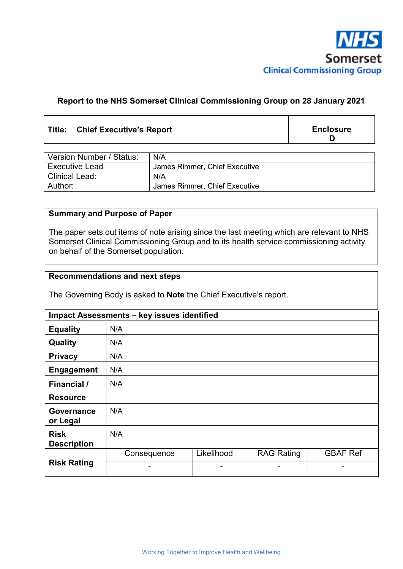

# **Report to the NHS Somerset Clinical Commissioning Group on 28 January 2021**

# **Title: Chief Executive's Report**

**Enclosure D** 

| Version Number / Status: | N/A                           |
|--------------------------|-------------------------------|
| <b>Executive Lead</b>    | James Rimmer, Chief Executive |
| <b>Clinical Lead:</b>    | N/A                           |
| Author:                  | James Rimmer, Chief Executive |

# **Summary and Purpose of Paper**

The paper sets out items of note arising since the last meeting which are relevant to NHS Somerset Clinical Commissioning Group and to its health service commissioning activity on behalf of the Somerset population.

#### **Recommendations and next steps**

The Governing Body is asked to **Note** the Chief Executive's report.

| Impact Assessments - key issues identified |                          |            |                   |                 |  |  |
|--------------------------------------------|--------------------------|------------|-------------------|-----------------|--|--|
| <b>Equality</b>                            | N/A                      |            |                   |                 |  |  |
| Quality                                    | N/A                      |            |                   |                 |  |  |
| <b>Privacy</b>                             | N/A                      |            |                   |                 |  |  |
| <b>Engagement</b>                          | N/A                      |            |                   |                 |  |  |
| <b>Financial</b> /                         | N/A                      |            |                   |                 |  |  |
| <b>Resource</b>                            |                          |            |                   |                 |  |  |
| Governance<br>or Legal                     | N/A                      |            |                   |                 |  |  |
| <b>Risk</b><br><b>Description</b>          | N/A                      |            |                   |                 |  |  |
| <b>Risk Rating</b>                         | Consequence              | Likelihood | <b>RAG Rating</b> | <b>GBAF Ref</b> |  |  |
|                                            | $\overline{\phantom{a}}$ | -          |                   |                 |  |  |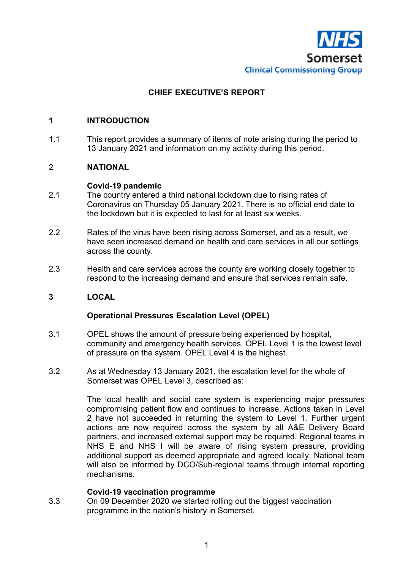

# **CHIEF EXECUTIVE'S REPORT**

### **1 INTRODUCTION**

1.1 This report provides a summary of items of note arising during the period to 13 January 2021 and information on my activity during this period.

# 2 **NATIONAL**

#### **Covid-19 pandemic**

- 2.1 The country entered a third national lockdown due to rising rates of Coronavirus on Thursday 05 January 2021. There is no official end date to the lockdown but it is expected to last for at least six weeks.
- 2.2 Rates of the virus have been rising across Somerset, and as a result, we have seen increased demand on health and care services in all our settings across the county.
- 2.3 Health and care services across the county are working closely together to respond to the increasing demand and ensure that services remain safe.

### **3 LOCAL**

#### **Operational Pressures Escalation Level (OPEL)**

- 3.1 OPEL shows the amount of pressure being experienced by hospital, community and emergency health services. OPEL Level 1 is the lowest level of pressure on the system. OPEL Level 4 is the highest.
- 3.2 As at Wednesday 13 January 2021, the escalation level for the whole of Somerset was OPEL Level 3, described as:

The local health and social care system is experiencing major pressures compromising patient flow and continues to increase. Actions taken in Level 2 have not succeeded in returning the system to Level 1. Further urgent actions are now required across the system by all A&E Delivery Board partners, and increased external support may be required. Regional teams in NHS E and NHS I will be aware of rising system pressure, providing additional support as deemed appropriate and agreed locally. National team will also be informed by DCO/Sub-regional teams through internal reporting mechanisms.

#### **Covid-19 vaccination programme**

3.3 On 09 December 2020 we started rolling out the biggest vaccination programme in the nation's history in Somerset.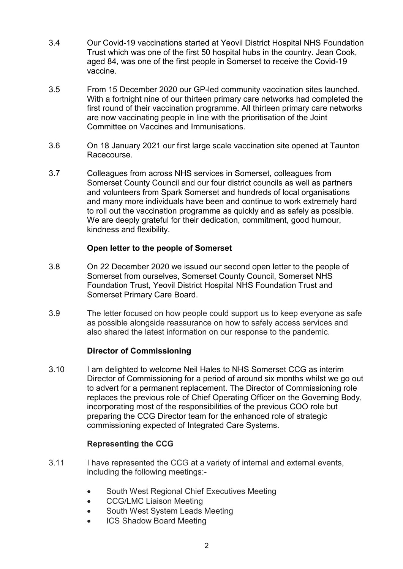- 3.4 Our Covid-19 vaccinations started at Yeovil District Hospital NHS Foundation Trust which was one of the first 50 hospital hubs in the country. Jean Cook, aged 84, was one of the first people in Somerset to receive the Covid-19 vaccine.
- 3.5 From 15 December 2020 our GP-led community vaccination sites launched. With a fortnight nine of our thirteen primary care networks had completed the first round of their vaccination programme. All thirteen primary care networks are now vaccinating people in line with the prioritisation of the Joint Committee on Vaccines and Immunisations.
- 3.6 On 18 January 2021 our first large scale vaccination site opened at Taunton Racecourse.
- 3.7 Colleagues from across NHS services in Somerset, colleagues from Somerset County Council and our four district councils as well as partners and volunteers from Spark Somerset and hundreds of local organisations and many more individuals have been and continue to work extremely hard to roll out the vaccination programme as quickly and as safely as possible. We are deeply grateful for their dedication, commitment, good humour, kindness and flexibility.

# **Open letter to the people of Somerset**

- 3.8 On 22 December 2020 we issued our second open letter to the people of Somerset from ourselves, Somerset County Council, Somerset NHS Foundation Trust, Yeovil District Hospital NHS Foundation Trust and Somerset Primary Care Board.
- 3.9 The letter focused on how people could support us to keep everyone as safe as possible alongside reassurance on how to safely access services and also shared the latest information on our response to the pandemic.

### **Director of Commissioning**

3.10 I am delighted to welcome Neil Hales to NHS Somerset CCG as interim Director of Commissioning for a period of around six months whilst we go out to advert for a permanent replacement. The Director of Commissioning role replaces the previous role of Chief Operating Officer on the Governing Body, incorporating most of the responsibilities of the previous COO role but preparing the CCG Director team for the enhanced role of strategic commissioning expected of Integrated Care Systems.

### **Representing the CCG**

- 3.11 I have represented the CCG at a variety of internal and external events, including the following meetings:-
	- South West Regional Chief Executives Meeting
	- CCG/LMC Liaison Meeting
	- South West System Leads Meeting
	- ICS Shadow Board Meeting